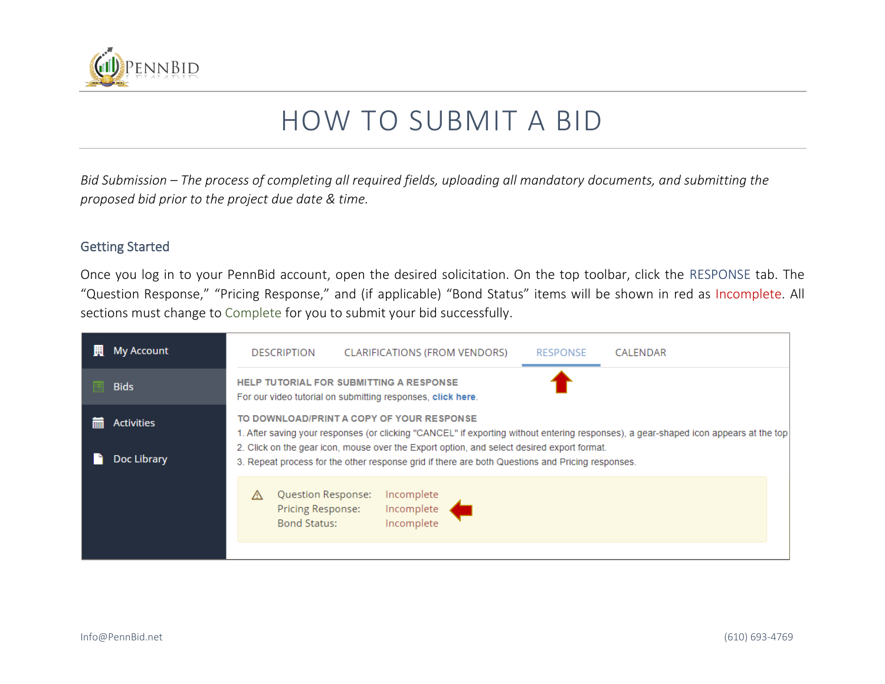

# HOW TO SUBMIT A BID

*Bid Submission – The process of completing all required fields, uploading all mandatory documents, and submitting the proposed bid prior to the project due date & time.*

#### Getting Started

Once you log in to your PennBid account, open the desired solicitation. On the top toolbar, click the RESPONSE tab. The "Question Response," "Pricing Response," and (if applicable) "Bond Status" items will be shown in red as Incomplete. All sections must change to Complete for you to submit your bid successfully.

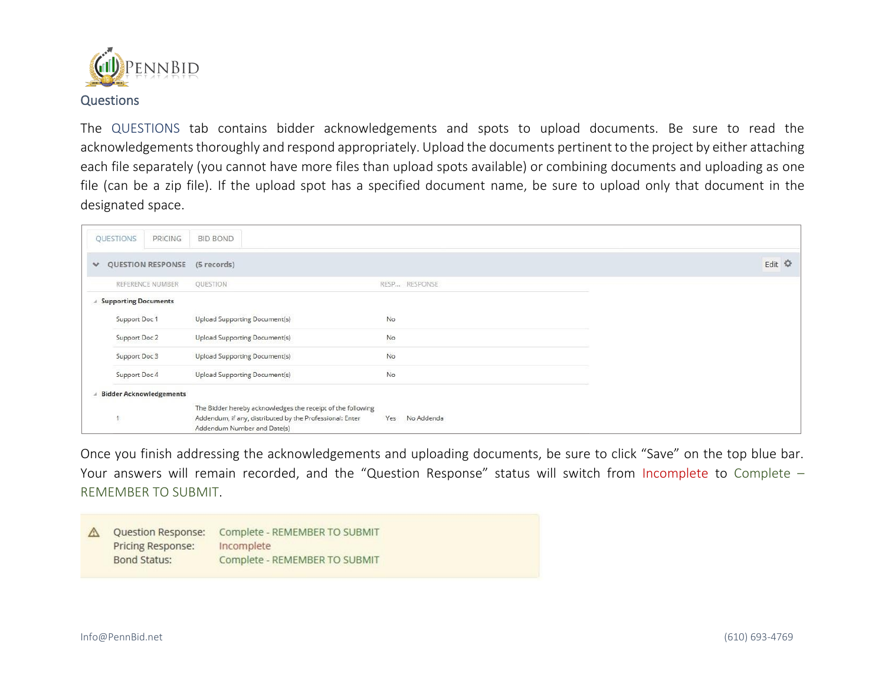

The QUESTIONS tab contains bidder acknowledgements and spots to upload documents. Be sure to read the acknowledgements thoroughly and respond appropriately. Upload the documents pertinent to the project by either attaching each file separately (you cannot have more files than upload spots available) or combining documents and uploading as one file (can be a zip file). If the upload spot has a specified document name, be sure to upload only that document in the designated space.

|              | PRICING<br>QUESTIONS           | <b>BID BOND</b>                                                                                                                                        |                   |        |
|--------------|--------------------------------|--------------------------------------------------------------------------------------------------------------------------------------------------------|-------------------|--------|
| $\checkmark$ | QUESTION RESPONSE              | (5 records)                                                                                                                                            |                   | Edit 章 |
|              | REFERENCE NUMBER               | QUESTION                                                                                                                                               | RESP RESPONSE     |        |
|              | <b>Supporting Documents</b>    |                                                                                                                                                        |                   |        |
|              | Support Doc 1                  | Upload Supporting Document(s)                                                                                                                          | No                |        |
|              | Support Doc 2                  | Upload Supporting Document(s)                                                                                                                          | No                |        |
|              | Support Doc 3                  | Upload Supporting Document(s)                                                                                                                          | No                |        |
|              | Support Doc 4                  | Upload Supporting Document(s)                                                                                                                          | No.               |        |
|              | <b>Bidder Acknowledgements</b> |                                                                                                                                                        |                   |        |
|              |                                | The Bidder hereby acknowledges the receipt of the following<br>Addendum, if any, distributed by the Professional: Enter<br>Addendum Number and Date(s) | Yes<br>No Addenda |        |

Once you finish addressing the acknowledgements and uploading documents, be sure to click "Save" on the top blue bar. Your answers will remain recorded, and the "Question Response" status will switch from Incomplete to Complete – REMEMBER TO SUBMIT.

| <b>Question Response:</b><br>Pricing Response: | Complete - REMEMBER TO SUBMIT<br>Incomplete |
|------------------------------------------------|---------------------------------------------|
| Bond Status:                                   | Complete - REMEMBER TO SUBMIT               |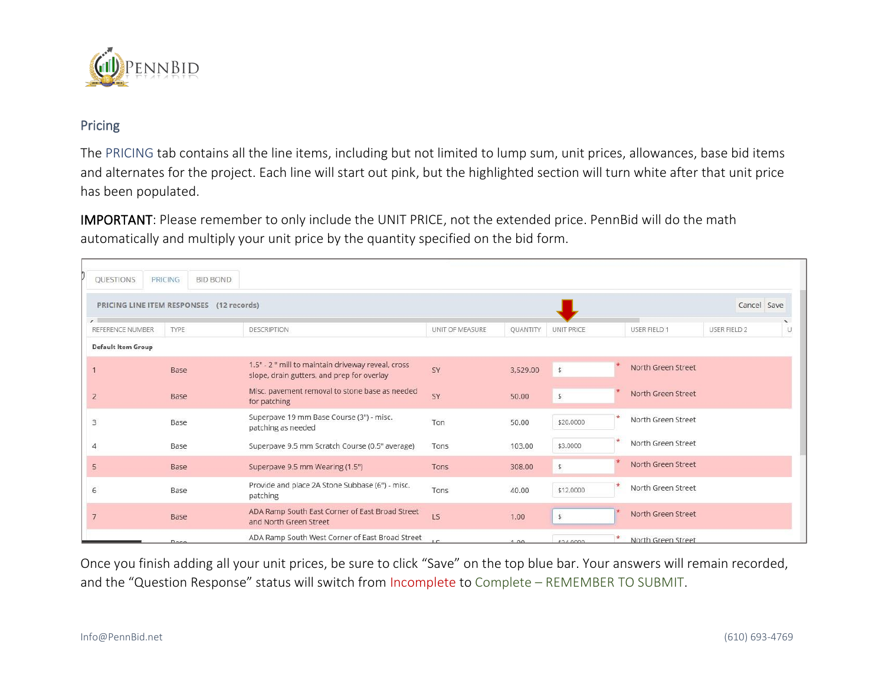

### Pricing

The PRICING tab contains all the line items, including but not limited to lump sum, unit prices, allowances, base bid items and alternates for the project. Each line will start out pink, but the highlighted section will turn white after that unit price has been populated.

IMPORTANT: Please remember to only include the UNIT PRICE, not the extended price. PennBid will do the math automatically and multiply your unit price by the quantity specified on the bid form.

| QUESTIONS                 | PRICING | <b>BID BOND</b>                          |                                                                                                  |                 |                 |                   |                    |                     |             |
|---------------------------|---------|------------------------------------------|--------------------------------------------------------------------------------------------------|-----------------|-----------------|-------------------|--------------------|---------------------|-------------|
|                           |         | PRICING LINE ITEM RESPONSES (12 records) |                                                                                                  |                 |                 |                   |                    |                     | Cancel Save |
| REFERENCE NUMBER          | TYPE    |                                          | <b>DESCRIPTION</b>                                                                               | UNIT OF MEASURE | <b>QUANTITY</b> | <b>UNIT PRICE</b> | USER FIELD 1       | <b>USER FIELD 2</b> | U.          |
| <b>Default Item Group</b> |         |                                          |                                                                                                  |                 |                 |                   |                    |                     |             |
|                           | Base    |                                          | 1.5" - 2 " mill to maintain driveway reveal, cross<br>slope, drain gutters, and prep for overlay | SY              | 3,529.00        | $\overline{5}$    | North Green Street |                     |             |
| $\overline{2}$            | Base    |                                          | Misc. pavement removal to stone base as needed<br>for patching                                   | SY              | 50.00           | $\frac{1}{2}$     | North Green Street |                     |             |
| 3                         | Base    |                                          | Superpave 19 mm Base Course (3") - misc.<br>patching as needed                                   | Ton             | 50.00           | \$20,0000         | North Green Street |                     |             |
|                           | Base    |                                          | Superpave 9.5 mm Scratch Course (0.5" average)                                                   | Tons            | 103.00          | \$3,0000          | North Green Street |                     |             |
| 5                         | Base    |                                          | Superpave 9.5 mm Wearing (1.5")                                                                  | <b>Tons</b>     | 308.00          | \$                | North Green Street |                     |             |
| 6                         | Base    |                                          | Provide and place 2A Stone Subbase (6") - misc.<br>patching                                      | Tons            | 40.00           | \$12,0000         | North Green Street |                     |             |
|                           | Base    |                                          | ADA Ramp South East Corner of East Broad Street<br>and North Green Street                        | LS              | 1.00            | $\ddot{s}$        | North Green Street |                     |             |
|                           | Race    |                                          | ADA Ramp South West Corner of East Broad Street                                                  | 1C              | 1.00            | \$24,0000         | North Green Street |                     |             |

Once you finish adding all your unit prices, be sure to click "Save" on the top blue bar. Your answers will remain recorded, and the "Question Response" status will switch from Incomplete to Complete - REMEMBER TO SUBMIT.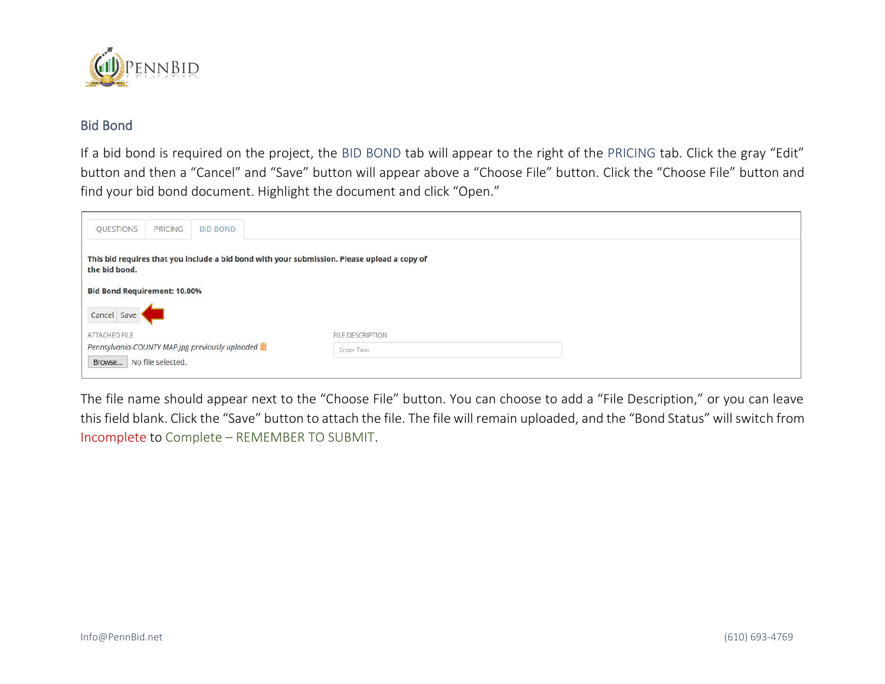

## Bid Bond

If a bid bond is required on the project, the BID BOND tab will appear to the right of the PRICING tab. Click the gray "Edit" button and then a "Cancel" and "Save" button will appear above a "Choose File" button. Click the "Choose File" button and find your bid bond document. Highlight the document and click "Open."

| QUESTIONS                           | PRICING | <b>BID BOND</b>                                 |                                                                                             |  |
|-------------------------------------|---------|-------------------------------------------------|---------------------------------------------------------------------------------------------|--|
| the bid bond.                       |         |                                                 | This bid requires that you include a bid bond with your submission. Please upload a copy of |  |
| <b>Bid Bond Requirement: 10.00%</b> |         |                                                 |                                                                                             |  |
| Cancel Save                         |         |                                                 |                                                                                             |  |
| ATTACHED FILE                       |         | Pennsylvania-COUNTY MAP.jpg previously uploaded | FILE DESCRIPTION                                                                            |  |
| Browse   No file selected.          |         |                                                 | <b>Enter Text</b>                                                                           |  |

The file name should appear next to the "Choose File" button. You can choose to add a "File Description," or you can leave this field blank. Click the "Save" button to attach the file. The file will remain uploaded, and the "Bond Status" will switch from Incomplete to Complete – REMEMBER TO SUBMIT.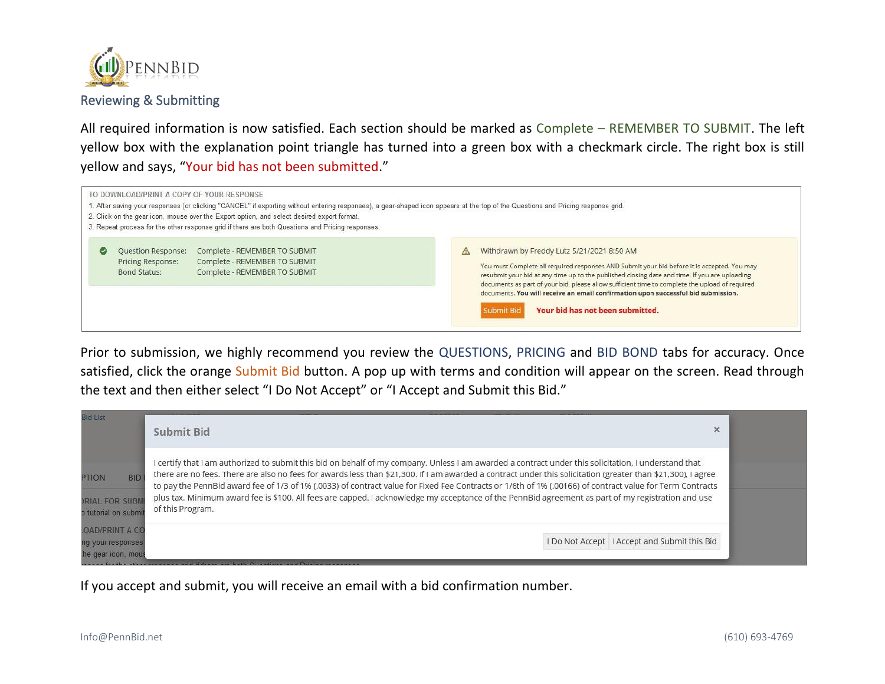

Reviewing & Submitting

All required information is now satisfied. Each section should be marked as Complete – REMEMBER TO SUBMIT. The left yellow box with the explanation point triangle has turned into a green box with a checkmark circle. The right box is still yellow and says, "Your bid has not been submitted."

| TO DOWNLOAD/PRINT A COPY OF YOUR RESPONSE                      | 2. Click on the gear icon, mouse over the Export option, and select desired export format.<br>3. Repeat process for the other response grid if there are both Questions and Pricing responses. | 1. After saving your responses (or clicking "CANCEL" if exporting without entering responses), a gear-shaped icon appears at the top of the Questions and Pricing response grid.                                                                                                                                                                                                                                                                                                           |
|----------------------------------------------------------------|------------------------------------------------------------------------------------------------------------------------------------------------------------------------------------------------|--------------------------------------------------------------------------------------------------------------------------------------------------------------------------------------------------------------------------------------------------------------------------------------------------------------------------------------------------------------------------------------------------------------------------------------------------------------------------------------------|
| <b>Ouestion Response:</b><br>Pricing Response:<br>Bond Status: | Complete - REMEMBER TO SUBMIT<br>Complete - REMEMBER TO SUBMIT<br>Complete - REMEMBER TO SUBMIT                                                                                                | Withdrawn by Freddy Lutz 5/21/2021 8:50 AM<br>You must Complete all required responses AND Submit your bid before it is accepted. You may<br>resubmit your bid at any time up to the published closing date and time. If you are uploading<br>documents as part of your bid, please allow sufficient time to complete the upload of required<br>documents. You will receive an email confirmation upon successful bid submission.<br>Your bid has not been submitted.<br><b>Submit Bid</b> |

Prior to submission, we highly recommend you review the QUESTIONS, PRICING and BID BOND tabs for accuracy. Once satisfied, click the orange Submit Bid button. A pop up with terms and condition will appear on the screen. Read through the text and then either select "I Do Not Accept" or "I Accept and Submit this Bid."

| I certify that I am authorized to submit this bid on behalf of my company. Unless I am awarded a contract under this solicitation, I understand that<br>there are no fees. There are also no fees for awards less than \$21,300. If I am awarded a contract under this solicitation (greater than \$21,300), I agree<br><b>BID</b><br><b>PTION</b><br>to pay the PennBid award fee of 1/3 of 1% (.0033) of contract value for Fixed Fee Contracts or 1/6th of 1% (.00166) of contract value for Term Contracts<br>plus tax. Minimum award fee is \$100. All fees are capped. I acknowledge my acceptance of the PennBid agreement as part of my registration and use<br><b>RIAL FOR SUBN</b><br>of this Program.<br>o tutorial on submi |  |
|-----------------------------------------------------------------------------------------------------------------------------------------------------------------------------------------------------------------------------------------------------------------------------------------------------------------------------------------------------------------------------------------------------------------------------------------------------------------------------------------------------------------------------------------------------------------------------------------------------------------------------------------------------------------------------------------------------------------------------------------|--|
| <b>OAD/PRINT A CO</b><br>I Do Not Accept I Accept and Submit this Bid<br>ng your responses<br>he gear icon, mous                                                                                                                                                                                                                                                                                                                                                                                                                                                                                                                                                                                                                        |  |

If you accept and submit, you will receive an email with a bid confirmation number.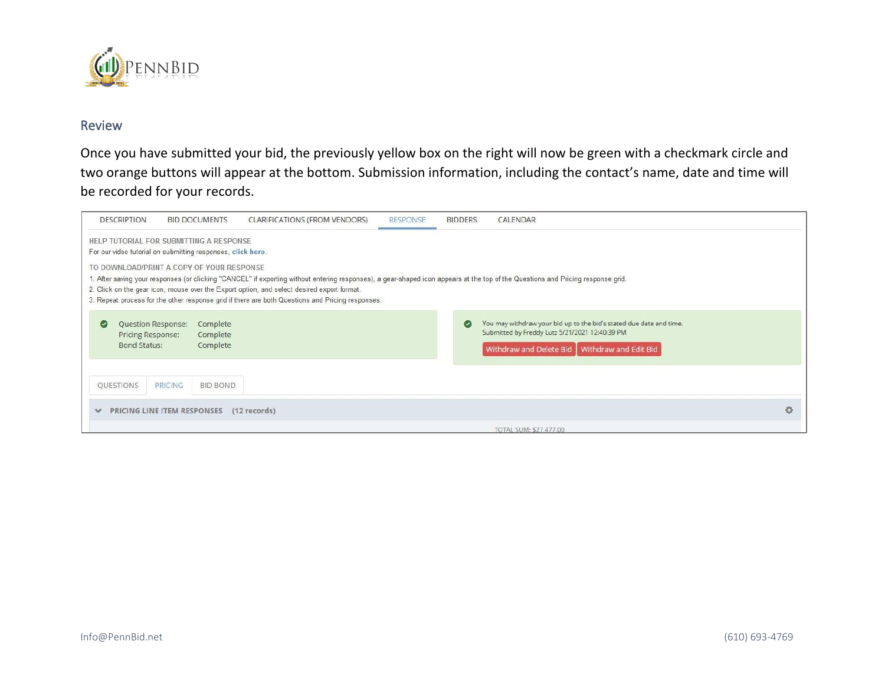

### Review

Once you have submitted your bid, the previously yellow box on the right will now be green with a checkmark circle and two orange buttons will appear at the bottom. Submission information, including the contact's name, date and time will be recorded for your records.

| <b>DESCRIPTION</b>                                             | <b>BID DOCUMENTS</b>                                                                                                                                                                                                                                                                                                                                                                                                                                                                                                                      | CLARIFICATIONS (FROM VENDORS) | <b>RESPONSE</b> | <b>BIDDERS</b> | CALENDAR                                                                                                                                                                  |   |  |  |
|----------------------------------------------------------------|-------------------------------------------------------------------------------------------------------------------------------------------------------------------------------------------------------------------------------------------------------------------------------------------------------------------------------------------------------------------------------------------------------------------------------------------------------------------------------------------------------------------------------------------|-------------------------------|-----------------|----------------|---------------------------------------------------------------------------------------------------------------------------------------------------------------------------|---|--|--|
|                                                                | HELP TUTORIAL FOR SUBMITTING A RESPONSE<br>For our video tutorial on submitting responses, click here.<br>TO DOWNLOAD/PRINT A COPY OF YOUR RESPONSE<br>I. After saving your responses (or clicking "CANCEL" if exporting without entering responses), a gear-shaped icon appears at the top of the Questions and Pricing response grid.<br>2. Click on the gear icon, mouse over the Export option, and select desired export format.<br>3. Repeat process for the other response grid if there are both Questions and Pricing responses. |                               |                 |                |                                                                                                                                                                           |   |  |  |
| Question Response:<br><b>Pricing Response:</b><br>Bond Status: | Complete<br>Complete<br>Complete                                                                                                                                                                                                                                                                                                                                                                                                                                                                                                          |                               |                 | $\bullet$      | You may withdraw your bid up to the bid's stated due date and time.<br>Submitted by Freddy Lutz 5/21/2021 12:40:39 PM<br>Withdraw and Delete Bid<br>Withdraw and Edit Bid |   |  |  |
| QUESTIONS                                                      | <b>PRICING</b><br><b>BID BOND</b>                                                                                                                                                                                                                                                                                                                                                                                                                                                                                                         |                               |                 |                |                                                                                                                                                                           |   |  |  |
| v                                                              | PRICING LINE ITEM RESPONSES                                                                                                                                                                                                                                                                                                                                                                                                                                                                                                               | $(12$ records)                |                 |                |                                                                                                                                                                           | 登 |  |  |
|                                                                |                                                                                                                                                                                                                                                                                                                                                                                                                                                                                                                                           |                               |                 |                | TOTAL SUM: \$27,477.00                                                                                                                                                    |   |  |  |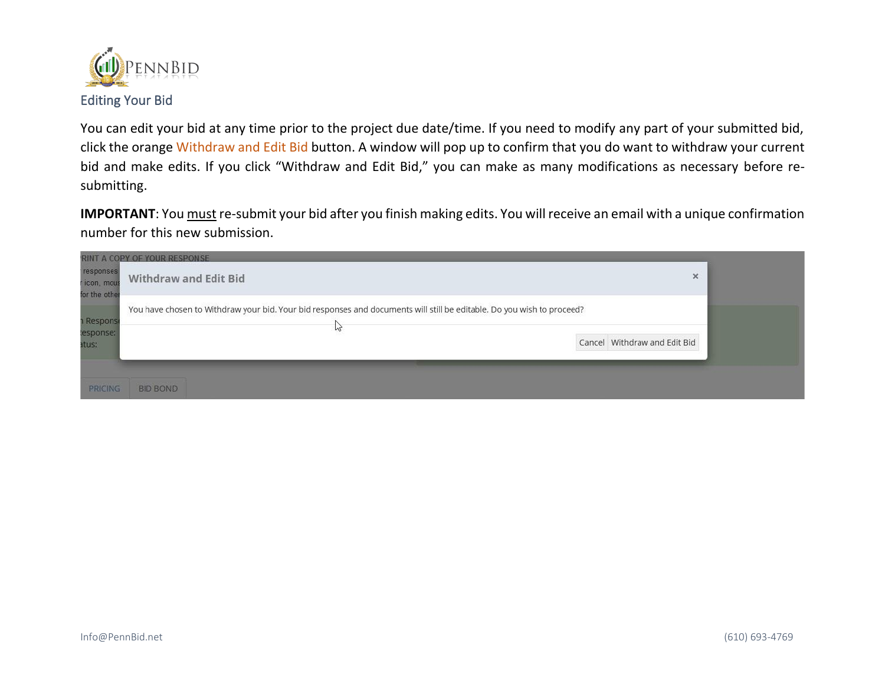

You can edit your bid at any time prior to the project due date/time. If you need to modify any part of your submitted bid, click the orange Withdraw and Edit Bid button. A window will pop up to confirm that you do want to withdraw your current bid and make edits. If you click "Withdraw and Edit Bid," you can make as many modifications as necessary before resubmitting.

**IMPORTANT**: You must re-submit your bid after you finish making edits. You will receive an email with a unique confirmation number for this new submission.

| responses<br>r icon, mous<br>for the other | RINT A COPY OF YOUR RESPONSE<br><b>Withdraw and Edit Bid</b>                                                                | $\times$                     |  |
|--------------------------------------------|-----------------------------------------------------------------------------------------------------------------------------|------------------------------|--|
| <b>1 Response</b><br>lesponse:<br>atus:    | You have chosen to Withdraw your bid. Your bid responses and documents will still be editable. Do you wish to proceed?<br>M | Cancel Withdraw and Edit Bid |  |
| PRICING                                    | <b>BID BOND</b>                                                                                                             |                              |  |